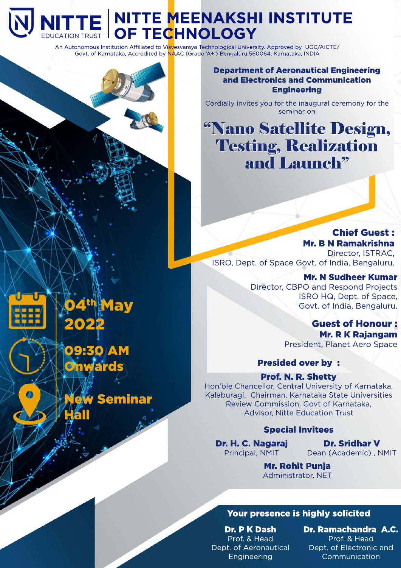#### **NITTE MEENAKSHI INSTITUTE OFTECHNOLOGY DUCATION TRUST**

An Autonomous Institution Affiliated to Visvesvaraya Technological University. Approved by UGC/AICTE/ Govt. of Karnataka, Accredited by NAAC (Grade 'A+') Bengaluru 560064, Karnataka, INDIA

#### **Department of Aeronautical Engineering** and Electronics and Communication **Engineering**

Cordially invites you for the inaugural ceremony for the seminar on

## "Nano Satellite Design, **Testing, Realization** andLaunch" andLaunch"

**Chief Guest:** Mr. B N Ramakrishna Director, ISTRAC, ISRO, Dept. of Space Govt. of India, Bengaluru.

> **Mr. N Sudheer Kumar** Director, CBPO and Respond Projects ISRO HQ, Dept. of Space, Govt. of India, Bengaluru.

> > **Guest of Honour: Mr. R K Rajangam** President, Planet Aero Space

#### **Presided over by:**

Prof. N. R. Shetty

Hon'ble Chancellor, Central University of Karnataka, Kalaburagi. Chairman, Karnataka State Universities Review Commission, Govt of Karnataka, Advisor, Nitte Education Trust

#### **Special Invitees**

Dr. H. C. Nagaraj Principal, NMIT

Dr. Sridhar V Dean (Academic), NMIT

**Mr. Rohit Punja** Administrator, NET

#### Your presence is highly solicited

Dr. P K Dash Prof. & Head Dept. of Aeronautical Engineering

Dr. Ramachandra A.C.

Prof. & Head Dept. of Electronic and Communication



thay 2022

09:30AM wards

### v Seminar **Hall**